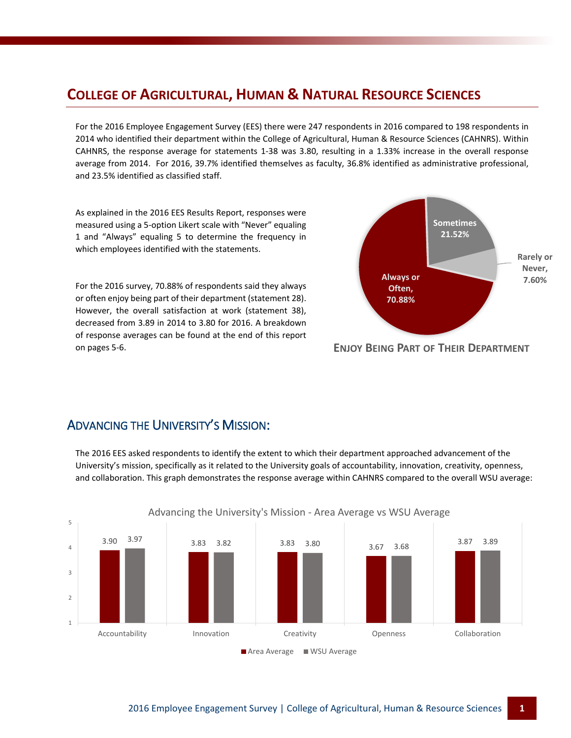## **COLLEGE OF AGRICULTURAL, HUMAN & NATURAL RESOURCE SCIENCES**

For the 2016 Employee Engagement Survey (EES) there were 247 respondents in 2016 compared to 198 respondents in 2014 who identified their department within the College of Agricultural, Human & Resource Sciences (CAHNRS). Within CAHNRS, the response average for statements 1-38 was 3.80, resulting in a 1.33% increase in the overall response average from 2014. For 2016, 39.7% identified themselves as faculty, 36.8% identified as administrative professional, and 23.5% identified as classified staff.

As explained in the 2016 EES Results Report, responses were measured using a 5-option Likert scale with "Never" equaling 1 and "Always" equaling 5 to determine the frequency in which employees identified with the statements.

For the 2016 survey, 70.88% of respondents said they always or often enjoy being part of their department (statement 28). However, the overall satisfaction at work (statement 38), decreased from 3.89 in 2014 to 3.80 for 2016. A breakdown of response averages can be found at the end of this report on pages 5-6.



#### **ENJOY BEING PART OF THEIR DEPARTMENT**

#### ADVANCING THE UNIVERSITY'S MISSION:

The 2016 EES asked respondents to identify the extent to which their department approached advancement of the University's mission, specifically as it related to the University goals of accountability, innovation, creativity, openness, and collaboration. This graph demonstrates the response average within CAHNRS compared to the overall WSU average:

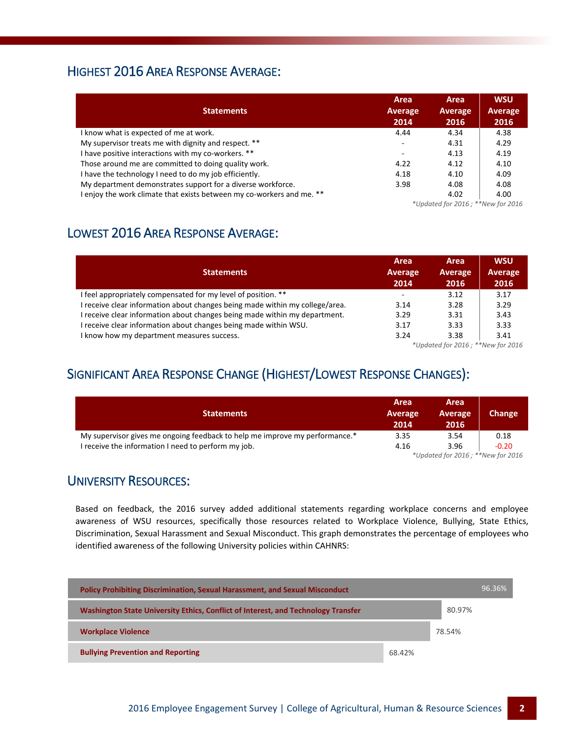### HIGHEST 2016 AREA RESPONSE AVERAGE:

| <b>Statements</b>                                                   | Area<br>Average<br>2014  | Area<br><b>Average</b><br>2016 | <b>WSU</b><br><b>Average</b><br>2016 |
|---------------------------------------------------------------------|--------------------------|--------------------------------|--------------------------------------|
| I know what is expected of me at work.                              | 4.44                     | 4.34                           | 4.38                                 |
| My supervisor treats me with dignity and respect. **                | $\overline{\phantom{a}}$ | 4.31                           | 4.29                                 |
| I have positive interactions with my co-workers. **                 | ۰                        | 4.13                           | 4.19                                 |
| Those around me are committed to doing quality work.                | 4.22                     | 4.12                           | 4.10                                 |
| I have the technology I need to do my job efficiently.              | 4.18                     | 4.10                           | 4.09                                 |
| My department demonstrates support for a diverse workforce.         | 3.98                     | 4.08                           | 4.08                                 |
| enjoy the work climate that exists between my co-workers and me. ** |                          | 4.02                           | 4.00                                 |
|                                                                     |                          | $*$                            |                                      |

*\*Updated for 2016 ; \*\*New for 2016*

## LOWEST 2016 AREA RESPONSE AVERAGE:

| <b>Statements</b>                                                            | Area<br>Average<br>2014 | Area<br>Average<br>2016                                                                                                                                                                               | <b>WSU</b><br>Average<br>2016 |
|------------------------------------------------------------------------------|-------------------------|-------------------------------------------------------------------------------------------------------------------------------------------------------------------------------------------------------|-------------------------------|
| I feel appropriately compensated for my level of position. **                | ۰                       | 3.12                                                                                                                                                                                                  | 3.17                          |
| I receive clear information about changes being made within my college/area. | 3.14                    | 3.28                                                                                                                                                                                                  | 3.29                          |
| I receive clear information about changes being made within my department.   | 3.29                    | 3.31                                                                                                                                                                                                  | 3.43                          |
| I receive clear information about changes being made within WSU.             | 3.17                    | 3.33                                                                                                                                                                                                  | 3.33                          |
| I know how my department measures success.                                   | 3.24                    | 3.38                                                                                                                                                                                                  | 3.41                          |
|                                                                              |                         | $\mathcal{L}_{\mathcal{L}}$ , and $\mathcal{L}_{\mathcal{L}}$ , and $\mathcal{L}_{\mathcal{L}}$ , and $\mathcal{L}_{\mathcal{L}}$ , and $\mathcal{L}_{\mathcal{L}}$ , and $\mathcal{L}_{\mathcal{L}}$ |                               |

*\*Updated for 2016 ; \*\*New for 2016*

## SIGNIFICANT AREA RESPONSE CHANGE (HIGHEST/LOWEST RESPONSE CHANGES):

| <b>Statements</b>                                                           | Area<br>Average<br>2014           | Area<br>Average<br>2016 | Change  |  |
|-----------------------------------------------------------------------------|-----------------------------------|-------------------------|---------|--|
| My supervisor gives me ongoing feedback to help me improve my performance.* | 3.35                              | 3.54                    | 0.18    |  |
| I receive the information I need to perform my job.                         | 4.16                              | 3.96                    | $-0.20$ |  |
|                                                                             | *Updated for 2016; **New for 2016 |                         |         |  |

#### UNIVERSITY RESOURCES:

Based on feedback, the 2016 survey added additional statements regarding workplace concerns and employee awareness of WSU resources, specifically those resources related to Workplace Violence, Bullying, State Ethics, Discrimination, Sexual Harassment and Sexual Misconduct. This graph demonstrates the percentage of employees who identified awareness of the following University policies within CAHNRS:

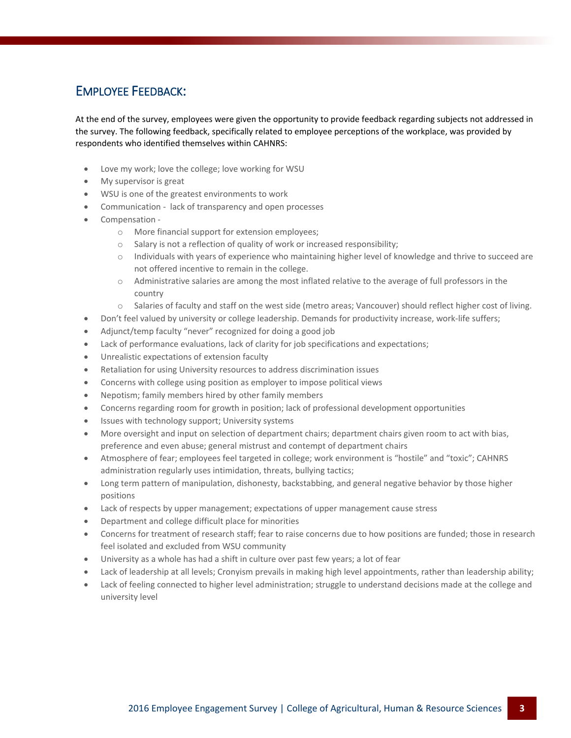## EMPLOYEE FEEDBACK:

At the end of the survey, employees were given the opportunity to provide feedback regarding subjects not addressed in the survey. The following feedback, specifically related to employee perceptions of the workplace, was provided by respondents who identified themselves within CAHNRS:

- Love my work; love the college; love working for WSU
- My supervisor is great
- WSU is one of the greatest environments to work
- Communication lack of transparency and open processes
- Compensation
	- o More financial support for extension employees;
	- o Salary is not a reflection of quality of work or increased responsibility;
	- o Individuals with years of experience who maintaining higher level of knowledge and thrive to succeed are not offered incentive to remain in the college.
	- o Administrative salaries are among the most inflated relative to the average of full professors in the country
	- o Salaries of faculty and staff on the west side (metro areas; Vancouver) should reflect higher cost of living.
- Don't feel valued by university or college leadership. Demands for productivity increase, work-life suffers;
- Adjunct/temp faculty "never" recognized for doing a good job
- Lack of performance evaluations, lack of clarity for job specifications and expectations;
- Unrealistic expectations of extension faculty
- Retaliation for using University resources to address discrimination issues
- Concerns with college using position as employer to impose political views
- Nepotism; family members hired by other family members
- Concerns regarding room for growth in position; lack of professional development opportunities
- Issues with technology support; University systems
- More oversight and input on selection of department chairs; department chairs given room to act with bias, preference and even abuse; general mistrust and contempt of department chairs
- Atmosphere of fear; employees feel targeted in college; work environment is "hostile" and "toxic"; CAHNRS administration regularly uses intimidation, threats, bullying tactics;
- Long term pattern of manipulation, dishonesty, backstabbing, and general negative behavior by those higher positions
- Lack of respects by upper management; expectations of upper management cause stress
- Department and college difficult place for minorities
- Concerns for treatment of research staff; fear to raise concerns due to how positions are funded; those in research feel isolated and excluded from WSU community
- University as a whole has had a shift in culture over past few years; a lot of fear
- Lack of leadership at all levels; Cronyism prevails in making high level appointments, rather than leadership ability;
- Lack of feeling connected to higher level administration; struggle to understand decisions made at the college and university level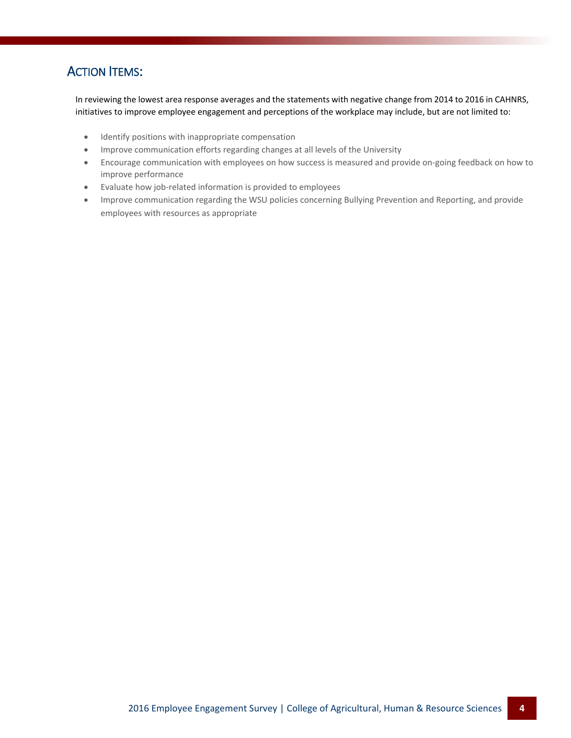### **ACTION ITEMS:**

In reviewing the lowest area response averages and the statements with negative change from 2014 to 2016 in CAHNRS, initiatives to improve employee engagement and perceptions of the workplace may include, but are not limited to:

- **•** Identify positions with inappropriate compensation
- Improve communication efforts regarding changes at all levels of the University
- Encourage communication with employees on how success is measured and provide on-going feedback on how to improve performance
- Evaluate how job-related information is provided to employees
- Improve communication regarding the WSU policies concerning Bullying Prevention and Reporting, and provide employees with resources as appropriate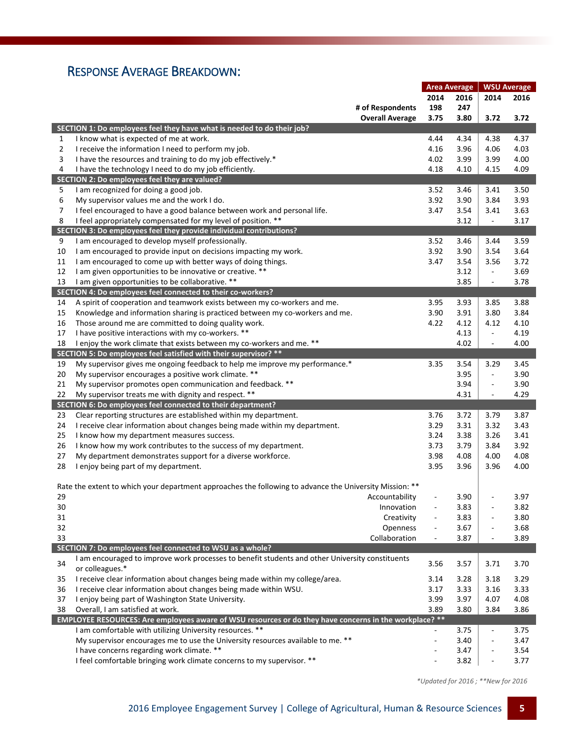## RESPONSE AVERAGE BREAKDOWN:

|                |                                                                                                         | <b>Area Average</b>      |      | <b>WSU Average</b>       |      |
|----------------|---------------------------------------------------------------------------------------------------------|--------------------------|------|--------------------------|------|
|                |                                                                                                         | 2014                     | 2016 | 2014                     | 2016 |
|                | # of Respondents                                                                                        | 198                      | 247  |                          |      |
|                | <b>Overall Average</b>                                                                                  | 3.75                     | 3.80 | 3.72                     | 3.72 |
|                | SECTION 1: Do employees feel they have what is needed to do their job?                                  |                          |      |                          |      |
| 1              | I know what is expected of me at work.                                                                  | 4.44                     | 4.34 | 4.38                     | 4.37 |
| $\overline{2}$ | I receive the information I need to perform my job.                                                     | 4.16                     | 3.96 | 4.06                     | 4.03 |
| 3              | I have the resources and training to do my job effectively.*                                            | 4.02                     | 3.99 | 3.99                     | 4.00 |
| 4              | I have the technology I need to do my job efficiently.                                                  | 4.18                     | 4.10 | 4.15                     | 4.09 |
|                | SECTION 2: Do employees feel they are valued?                                                           |                          |      |                          |      |
|                |                                                                                                         |                          |      |                          |      |
| 5              | I am recognized for doing a good job.                                                                   | 3.52                     | 3.46 | 3.41                     | 3.50 |
| 6              | My supervisor values me and the work I do.                                                              | 3.92                     | 3.90 | 3.84                     | 3.93 |
| 7              | I feel encouraged to have a good balance between work and personal life.                                | 3.47                     | 3.54 | 3.41                     | 3.63 |
| 8              | I feel appropriately compensated for my level of position. **                                           |                          | 3.12 | $\Box$                   | 3.17 |
|                | SECTION 3: Do employees feel they provide individual contributions?                                     |                          |      |                          |      |
| 9              | I am encouraged to develop myself professionally.                                                       | 3.52                     | 3.46 | 3.44                     | 3.59 |
| 10             | I am encouraged to provide input on decisions impacting my work.                                        | 3.92                     | 3.90 | 3.54                     | 3.64 |
| 11             | I am encouraged to come up with better ways of doing things.                                            | 3.47                     | 3.54 | 3.56                     | 3.72 |
| 12             | I am given opportunities to be innovative or creative. **                                               |                          | 3.12 | $\Box$                   | 3.69 |
| 13             | I am given opportunities to be collaborative. **                                                        |                          | 3.85 | $\overline{\phantom{a}}$ | 3.78 |
|                | SECTION 4: Do employees feel connected to their co-workers?                                             |                          |      |                          |      |
| 14             | A spirit of cooperation and teamwork exists between my co-workers and me.                               | 3.95                     | 3.93 | 3.85                     | 3.88 |
| 15             | Knowledge and information sharing is practiced between my co-workers and me.                            | 3.90                     | 3.91 | 3.80                     | 3.84 |
| 16             | Those around me are committed to doing quality work.                                                    | 4.22                     | 4.12 | 4.12                     | 4.10 |
| 17             | I have positive interactions with my co-workers. **                                                     |                          | 4.13 | $\overline{\phantom{a}}$ | 4.19 |
| 18             | I enjoy the work climate that exists between my co-workers and me. **                                   |                          | 4.02 | $\overline{\phantom{a}}$ | 4.00 |
|                | SECTION 5: Do employees feel satisfied with their supervisor? **                                        |                          |      |                          |      |
| 19             | My supervisor gives me ongoing feedback to help me improve my performance.*                             | 3.35                     | 3.54 | 3.29                     | 3.45 |
| 20             | My supervisor encourages a positive work climate. **                                                    |                          | 3.95 | $\overline{\phantom{a}}$ | 3.90 |
| 21             | My supervisor promotes open communication and feedback. **                                              |                          | 3.94 | $\Box$                   | 3.90 |
| 22             | My supervisor treats me with dignity and respect. **                                                    |                          | 4.31 | $\overline{\phantom{a}}$ | 4.29 |
|                | SECTION 6: Do employees feel connected to their department?                                             |                          |      |                          |      |
| 23             | Clear reporting structures are established within my department.                                        | 3.76                     | 3.72 | 3.79                     | 3.87 |
| 24             | I receive clear information about changes being made within my department.                              | 3.29                     | 3.31 | 3.32                     | 3.43 |
| 25             | I know how my department measures success.                                                              | 3.24                     | 3.38 | 3.26                     | 3.41 |
| 26             | I know how my work contributes to the success of my department.                                         | 3.73                     | 3.79 | 3.84                     | 3.92 |
| 27             | My department demonstrates support for a diverse workforce.                                             | 3.98                     | 4.08 | 4.00                     | 4.08 |
| 28             | I enjoy being part of my department.                                                                    | 3.95                     | 3.96 | 3.96                     | 4.00 |
|                |                                                                                                         |                          |      |                          |      |
|                | Rate the extent to which your department approaches the following to advance the University Mission: ** |                          |      |                          |      |
| 29             | Accountability                                                                                          |                          | 3.90 |                          | 3.97 |
| 30             | Innovation                                                                                              |                          | 3.83 | $\blacksquare$           | 3.82 |
| 31             | Creativity                                                                                              |                          | 3.83 | ÷,                       | 3.80 |
| 32             | Openness                                                                                                | $\overline{\phantom{a}}$ | 3.67 | $\overline{\phantom{a}}$ | 3.68 |
| 33             | Collaboration                                                                                           |                          | 3.87 | $\overline{\phantom{a}}$ | 3.89 |
|                | SECTION 7: Do employees feel connected to WSU as a whole?                                               |                          |      |                          |      |
|                | I am encouraged to improve work processes to benefit students and other University constituents         |                          |      |                          |      |
| 34             | or colleagues.*                                                                                         | 3.56                     | 3.57 | 3.71                     | 3.70 |
| 35             | I receive clear information about changes being made within my college/area.                            | 3.14                     | 3.28 | 3.18                     | 3.29 |
| 36             | I receive clear information about changes being made within WSU.                                        | 3.17                     | 3.33 | 3.16                     | 3.33 |
| 37             | I enjoy being part of Washington State University.                                                      | 3.99                     | 3.97 | 4.07                     | 4.08 |
| 38             | Overall, I am satisfied at work.                                                                        | 3.89                     | 3.80 | 3.84                     | 3.86 |
|                | EMPLOYEE RESOURCES: Are employees aware of WSU resources or do they have concerns in the workplace? **  |                          |      |                          |      |
|                | I am comfortable with utilizing University resources. **                                                | $\blacksquare$           | 3.75 | $\blacksquare$           | 3.75 |
|                | My supervisor encourages me to use the University resources available to me. **                         | Ξ                        | 3.40 | $\overline{\phantom{a}}$ | 3.47 |
|                | I have concerns regarding work climate. **                                                              |                          | 3.47 | $\overline{\phantom{a}}$ | 3.54 |
|                | I feel comfortable bringing work climate concerns to my supervisor. **                                  |                          | 3.82 | $\blacksquare$           | 3.77 |
|                |                                                                                                         |                          |      |                          |      |

 *\*Updated for 2016 ; \*\*New for 2016*